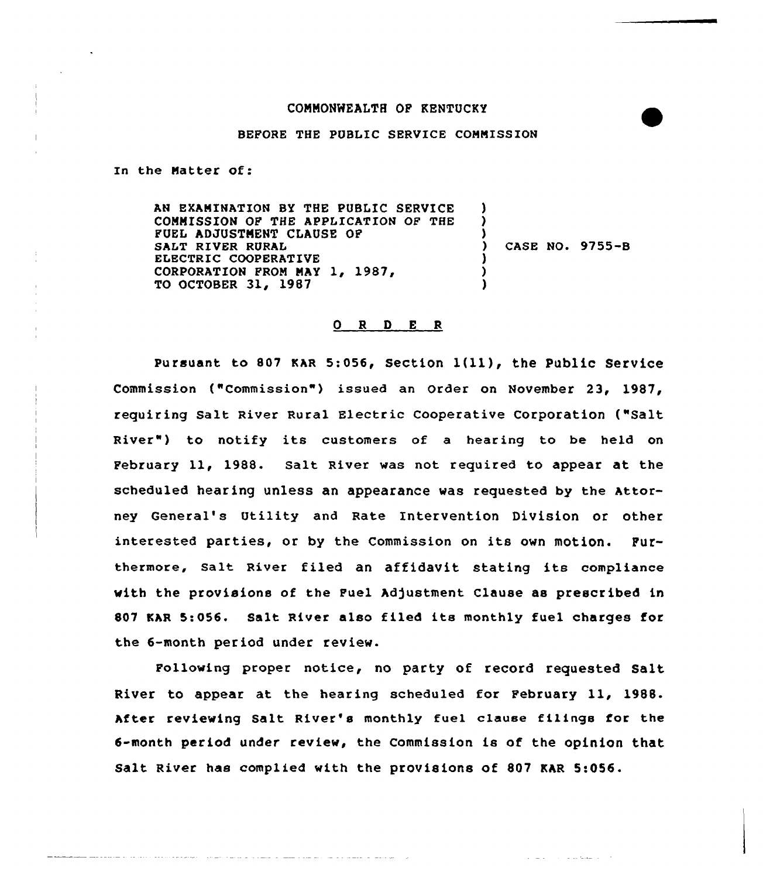## COMMONWEALTH OP KENTUCKY

## BEFORE THE PUBLIC SERVICE COMMISSION

In the Matter Of:

AN EXAMINATION BY THE PUBLIC SERVICE COMMISSION OF THE APPLICATION OF THE FUEL ADJUSTMENT CLAUSE OP SALT RIVER RURAL ELECTRIC COOPERATIVE CORPORATION FROM MAY 1, 1987, TO OCTOBER 31, 1987 ) ) ) ) CASE NO. 9755-B ) ) )

## O R D E R

pursuant to <sup>807</sup> KAR 5:056, section l(ll), the Public service Commission ("Commission") issued an Order on November 23, 1987, requiring Salt River Rural Electric Cooperative Corporation ("Salt River") to notify its customers of a hearing to be held on Pebruary ll, 1988. Salt River was not required to appear at the scheduled hearing unless an appearance was requested by the Attorney General's Utility and Rate Intervention Division or other interested parties, or by the Commission on its own motion. Furthermore, salt River filed an affidavit stating its compliance with the provisions of the Fuel Adjustment Clause as prescribed in <sup>807</sup> KAR 5:056. Salt River also filed its monthly fuel charges for the 6-month period under review.

Following proper notice, no party of record requested Salt River to appear at the hearing scheduled for February ll, 1988. After reviewing Salt River's monthly fuel clause filings for the 6-month period under review, the Commission is of the opinion that Salt River has complied with the provisions of 807 KAR 5:056.

and such a contract the same of the

the contract of the company of the contract of the contract of the contract of the contract of the contract of